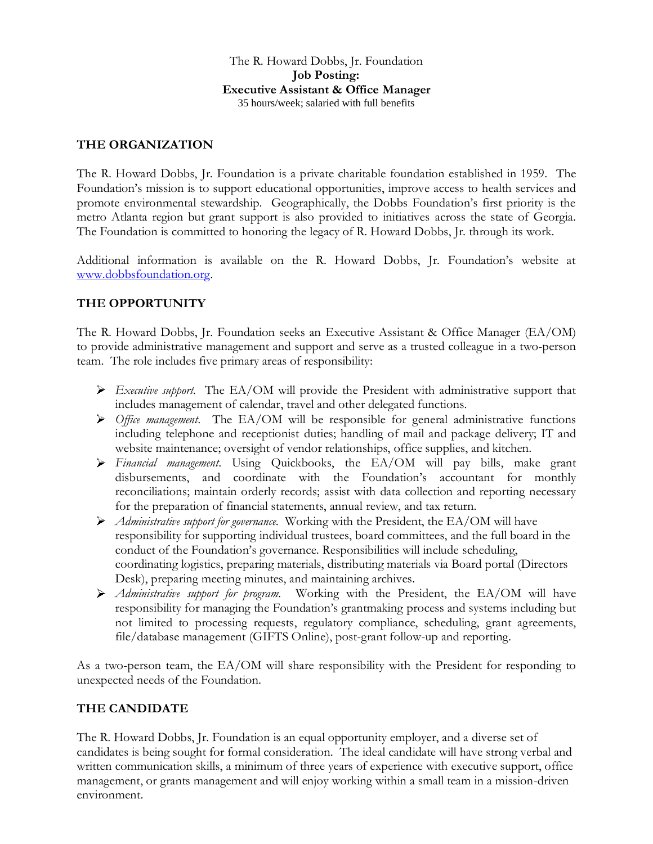#### The R. Howard Dobbs, Jr. Foundation **Job Posting: Executive Assistant & Office Manager** 35 hours/week; salaried with full benefits

### **THE ORGANIZATION**

The R. Howard Dobbs, Jr. Foundation is a private charitable foundation established in 1959. The Foundation's mission is to support educational opportunities, improve access to health services and promote environmental stewardship. Geographically, the Dobbs Foundation's first priority is the metro Atlanta region but grant support is also provided to initiatives across the state of Georgia. The Foundation is committed to honoring the legacy of R. Howard Dobbs, Jr. through its work*.*

Additional information is available on the R. Howard Dobbs, Jr. Foundation's website at [www.dobbsfoundation.org.](http://www.dobbsfoundation.org/)

## **THE OPPORTUNITY**

The R. Howard Dobbs, Jr. Foundation seeks an Executive Assistant & Office Manager (EA/OM) to provide administrative management and support and serve as a trusted colleague in a two-person team. The role includes five primary areas of responsibility:

- *Executive support*. The EA/OM will provide the President with administrative support that includes management of calendar, travel and other delegated functions.
- *Office management*. The EA/OM will be responsible for general administrative functions including telephone and receptionist duties; handling of mail and package delivery; IT and website maintenance; oversight of vendor relationships, office supplies, and kitchen.
- *Financial management*. Using Quickbooks, the EA/OM will pay bills, make grant disbursements, and coordinate with the Foundation's accountant for monthly reconciliations; maintain orderly records; assist with data collection and reporting necessary for the preparation of financial statements, annual review, and tax return.
- *Administrative support for governance*. Working with the President, the EA/OM will have responsibility for supporting individual trustees, board committees, and the full board in the conduct of the Foundation's governance. Responsibilities will include scheduling, coordinating logistics, preparing materials, distributing materials via Board portal (Directors Desk), preparing meeting minutes, and maintaining archives.
- *Administrative support for program.* Working with the President, the EA/OM will have responsibility for managing the Foundation's grantmaking process and systems including but not limited to processing requests, regulatory compliance, scheduling, grant agreements, file/database management (GIFTS Online), post-grant follow-up and reporting.

As a two-person team, the EA/OM will share responsibility with the President for responding to unexpected needs of the Foundation.

# **THE CANDIDATE**

The R. Howard Dobbs, Jr. Foundation is an equal opportunity employer, and a diverse set of candidates is being sought for formal consideration. The ideal candidate will have strong verbal and written communication skills, a minimum of three years of experience with executive support, office management, or grants management and will enjoy working within a small team in a mission-driven environment.